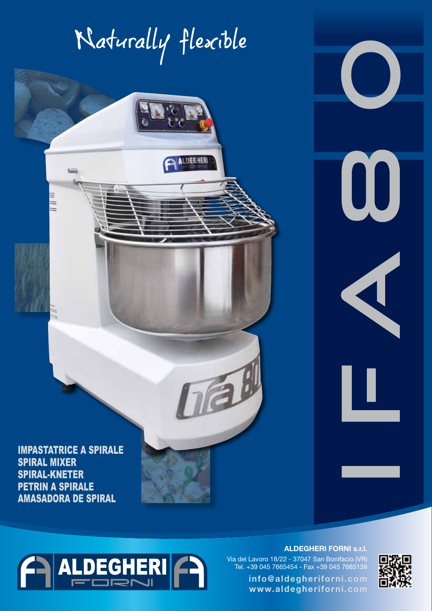## Naturally flexible

**ALDEGHERL** 

司

IMPASTATRICE A SPIRALE SPIRAL MIXER SPIRAL-KNETER PETRIN A SPIRALE AMASADORA DE SPIRAL

ALDEGHERI

 $\overline{ }$ 

TY SI

Æ

Z,

#### **ALDEGHERI FORNI s.r.l.**

Via del Lavoro 18/22 - 37047 San Bonifacio (VR) Tel. +39 045 7665454 - Fax +39 045 7665139

> **info@aldegheriforni.com www.aldegheriforni.com**



 $\bigcup$ 

 $\bm{0}$ 

 $\overline{\mathbf{A}}$ 

J